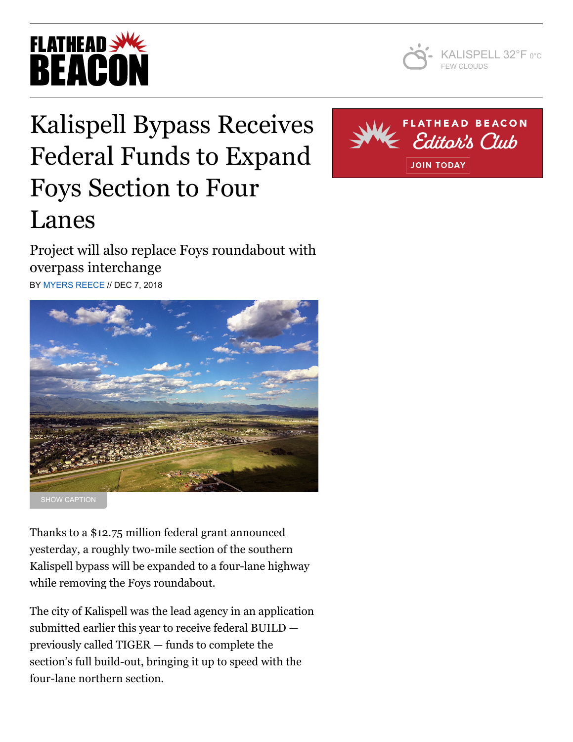



## Kalispell Bypass Receives Federal Funds to Expand Foys Section to Four Lanes

Project will also replace Foys roundabout with overpass interchange BY [MYERS REECE](https://flatheadbeacon.com/author/myers-reece/) // DEC 7, 2018



Thanks to a \$12.75 million federal grant announced yesterday, a roughly two-mile section of the southern Kalispell bypass will be expanded to a four-lane highway while removing the Foys roundabout.

The city of Kalispell was the lead agency in an application submitted earlier this year to receive federal BUILD previously called TIGER — funds to complete the section's full build-out, bringing it up to speed with the four-lane northern section.

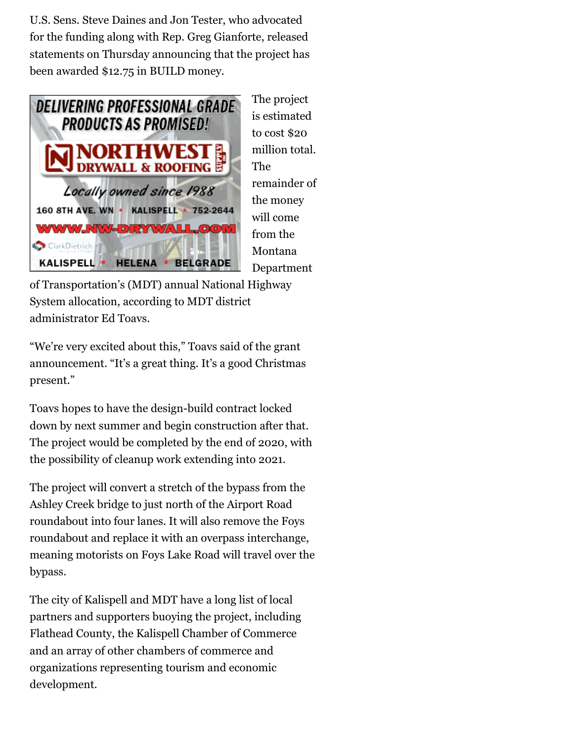U.S. Sens. Steve Daines and Jon Tester, who advocated for the funding along with Rep. Greg Gianforte, released statements on Thursday announcing that the project has been awarded \$12.75 in BUILD money.



The project is estimated to cost \$20 million total. The remainder of the money will come from the Montana Department

of Transportation's (MDT) annual National Highway System allocation, according to MDT district administrator Ed Toavs.

"We're very excited about this," Toavs said of the grant announcement. "It's a great thing. It's a good Christmas present."

Toavs hopes to have the design-build contract locked down by next summer and begin construction after that. The project would be completed by the end of 2020, with the possibility of cleanup work extending into 2021.

The project will convert a stretch of the bypass from the Ashley Creek bridge to just north of the Airport Road roundabout into four lanes. It will also remove the Foys roundabout and replace it with an overpass interchange, meaning motorists on Foys Lake Road will travel over the bypass.

The city of Kalispell and MDT have a long list of local partners and supporters buoying the project, including Flathead County, the Kalispell Chamber of Commerce and an array of other chambers of commerce and organizations representing tourism and economic development.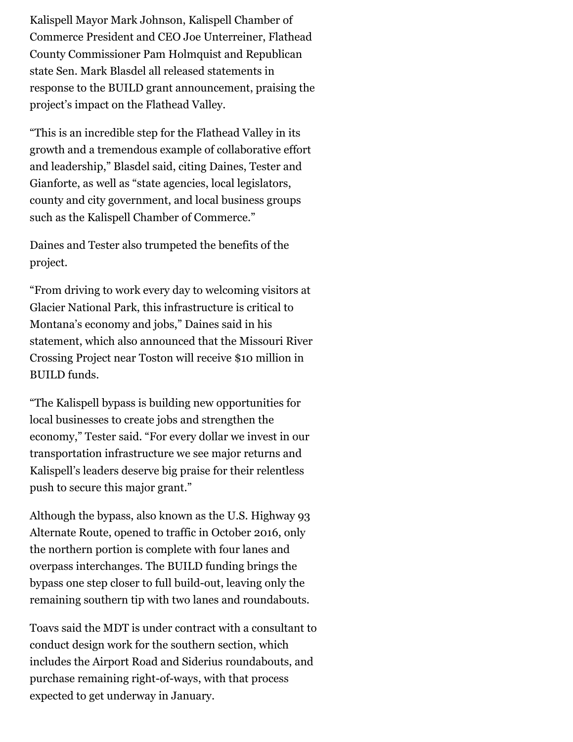Kalispell Mayor Mark Johnson, Kalispell Chamber of Commerce President and CEO Joe Unterreiner, Flathead County Commissioner Pam Holmquist and Republican state Sen. Mark Blasdel all released statements in response to the BUILD grant announcement, praising the project's impact on the Flathead Valley.

"This is an incredible step for the Flathead Valley in its growth and a tremendous example of collaborative effort and leadership," Blasdel said, citing Daines, Tester and Gianforte, as well as "state agencies, local legislators, county and city government, and local business groups such as the Kalispell Chamber of Commerce."

Daines and Tester also trumpeted the benefits of the project.

"From driving to work every day to welcoming visitors at Glacier National Park, this infrastructure is critical to Montana's economy and jobs," Daines said in his statement, which also announced that the Missouri River Crossing Project near Toston will receive \$10 million in BUILD funds.

"The Kalispell bypass is building new opportunities for local businesses to create jobs and strengthen the economy," Tester said. "For every dollar we invest in our transportation infrastructure we see major returns and Kalispell's leaders deserve big praise for their relentless push to secure this major grant."

Although the bypass, also known as the U.S. Highway 93 Alternate Route, opened to traffic in October 2016, only the northern portion is complete with four lanes and overpass interchanges. The BUILD funding brings the bypass one step closer to full build-out, leaving only the remaining southern tip with two lanes and roundabouts.

Toavs said the MDT is under contract with a consultant to conduct design work for the southern section, which includes the Airport Road and Siderius roundabouts, and purchase remaining right-of-ways, with that process expected to get underway in January.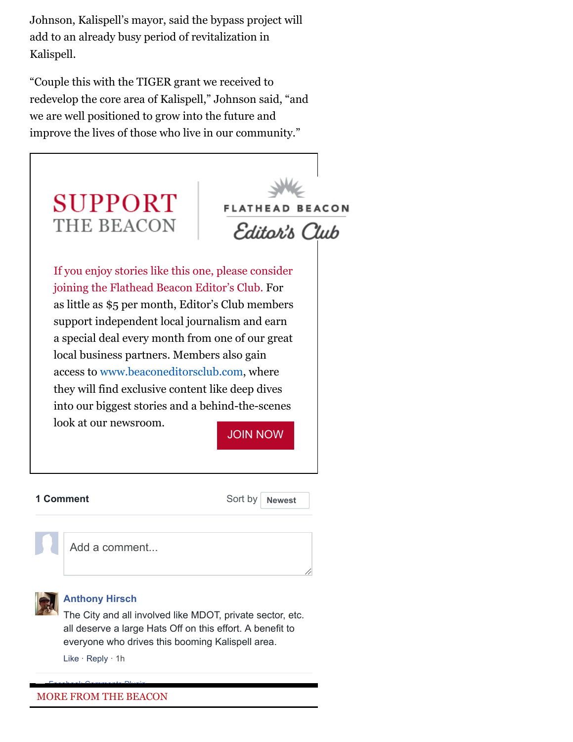Johnson, Kalispell's mayor, said the bypass project will add to an already busy period of revitalization in Kalispell.

"Couple this with the TIGER grant we received to redevelop the core area of Kalispell," Johnson said, "and we are well positioned to grow into the future and improve the lives of those who live in our community."



## **1 Comment** Sort by

**Newest**



Add a comment...



## **[Anthony Hirsch](https://www.facebook.com/anthony.hirsch.71)**

The City and all involved like MDOT, private sector, etc. all deserve a large Hats Off on this effort. A benefit to everyone who drives this booming Kalispell area.

Like · Reply · [1h](https://flatheadbeacon.com/2018/12/07/kalispell-bypass-receives-federal-funds-expand-foys-section-four-lanes/?fb_comment_id=1926183817437458_1926250354097471)

## MORE FROM THE BEACON Facebook [Comments](https://developers.facebook.com/products/social-plugins/comments/?utm_campaign=social_plugins&utm_medium=offsite_pages&utm_source=comments_plugin) Plugin